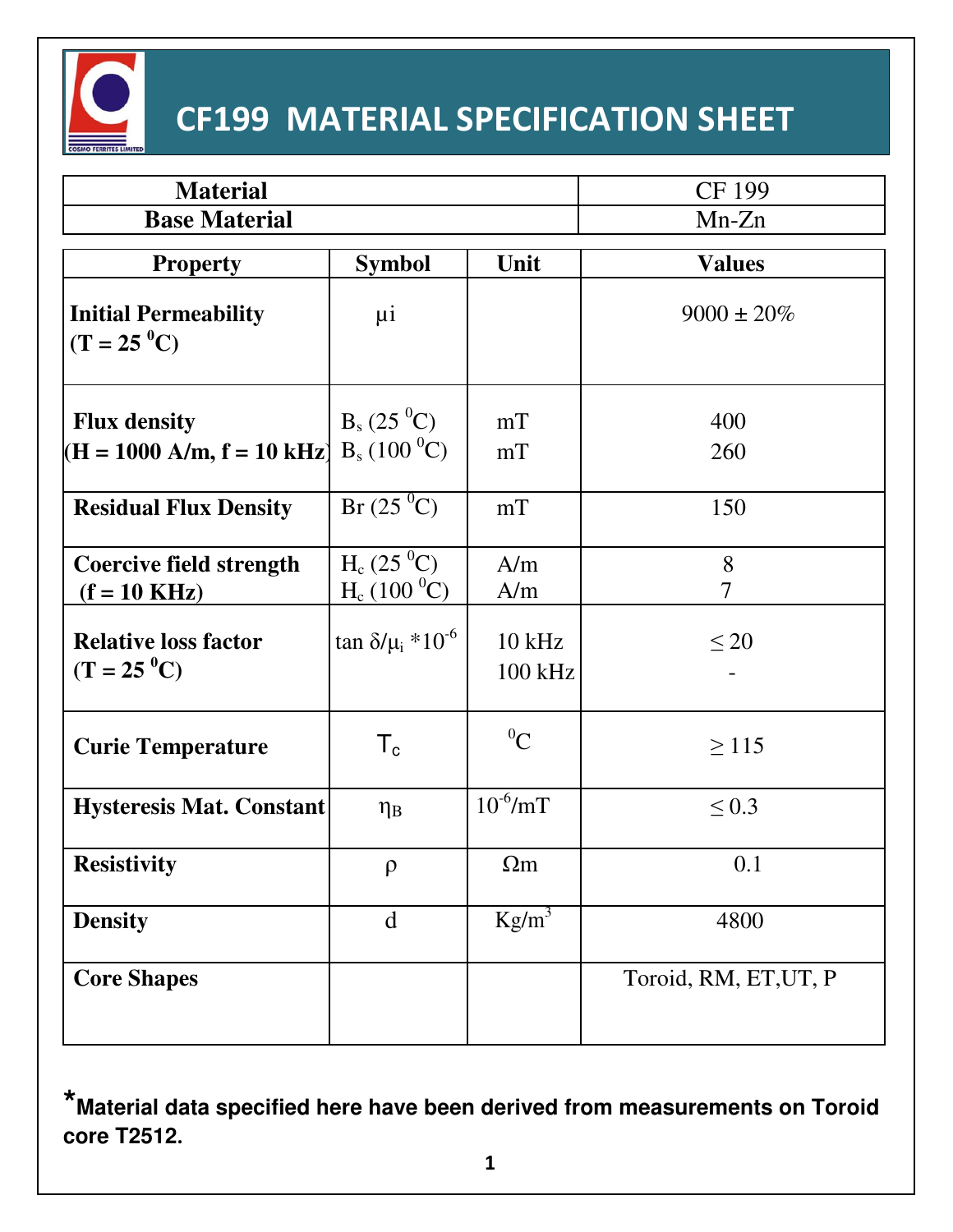

# **CF199 MATERIAL SPECIFICATION SHEET**

| <b>Material</b>                                          |                                               |                     | CF 199                |
|----------------------------------------------------------|-----------------------------------------------|---------------------|-----------------------|
| <b>Base Material</b>                                     |                                               |                     | $Mn-Zn$               |
| <b>Property</b>                                          | <b>Symbol</b>                                 | Unit                | <b>Values</b>         |
| <b>Initial Permeability</b><br>$(T = 25 \degree C)$      | $\mu i$                                       |                     | $9000 \pm 20\%$       |
| <b>Flux density</b><br>$(H = 1000 A/m, f = 10 kHz)$      | $B_s (25\degree C)$<br>$B_s (100^{\circ}C)$   | mT<br>mT            | 400<br>260            |
| <b>Residual Flux Density</b>                             | $Br(25\,{}^{0}C)$                             | mT                  | 150                   |
| <b>Coercive field strength</b><br>$(f = 10 \text{ KHz})$ | $H_c (25 \degree C)$<br>$H_c (100 \degree C)$ | A/m<br>A/m          | 8<br>7                |
| <b>Relative loss factor</b><br>$(T = 25 \degree C)$      | $\tan \delta/\mu_i * 10^{-6}$                 | $10$ kHz<br>100 kHz | $\leq 20$             |
| <b>Curie Temperature</b>                                 | $\mathsf{T}_{\mathtt{c}}$                     | ${}^0C$             | $\geq$ 115            |
| <b>Hysteresis Mat. Constant</b>                          | $\eta_B$                                      | $10^{-6}$ /mT       | $\leq 0.3$            |
| <b>Resistivity</b>                                       | $\rho$                                        | $\Omega$ m          | 0.1                   |
| <b>Density</b>                                           | d                                             | $Kg/m^3$            | 4800                  |
| <b>Core Shapes</b>                                       |                                               |                     | Toroid, RM, ET, UT, P |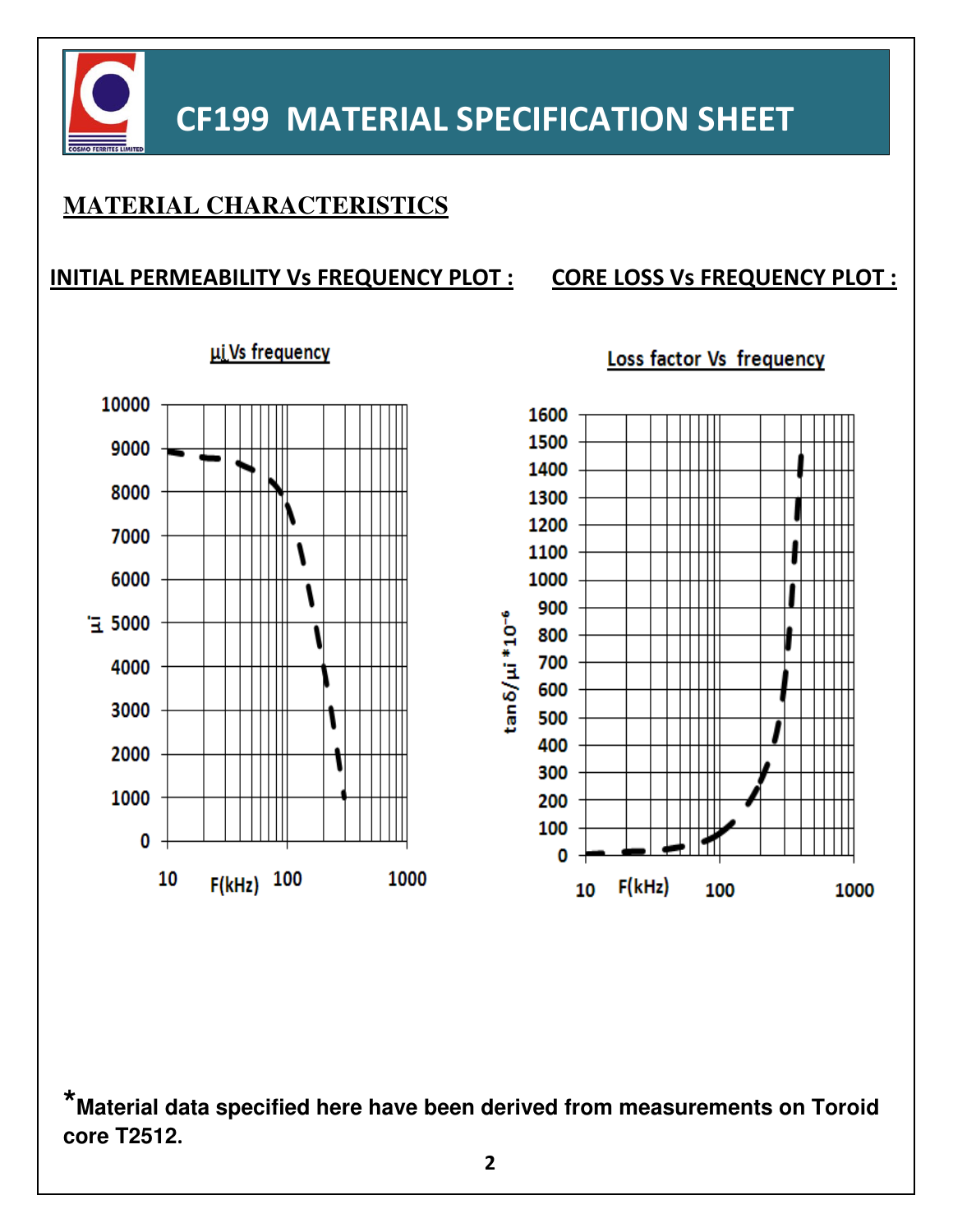

## **CF199 MATERIAL SPECIFICATION SHEET**

### **MATERIAL CHARACTERISTICS**

#### **INITIAL PERMEABILITY Vs FREQUENCY PLOT : CORE LOSS Vs FREQUENCY PLOT :**

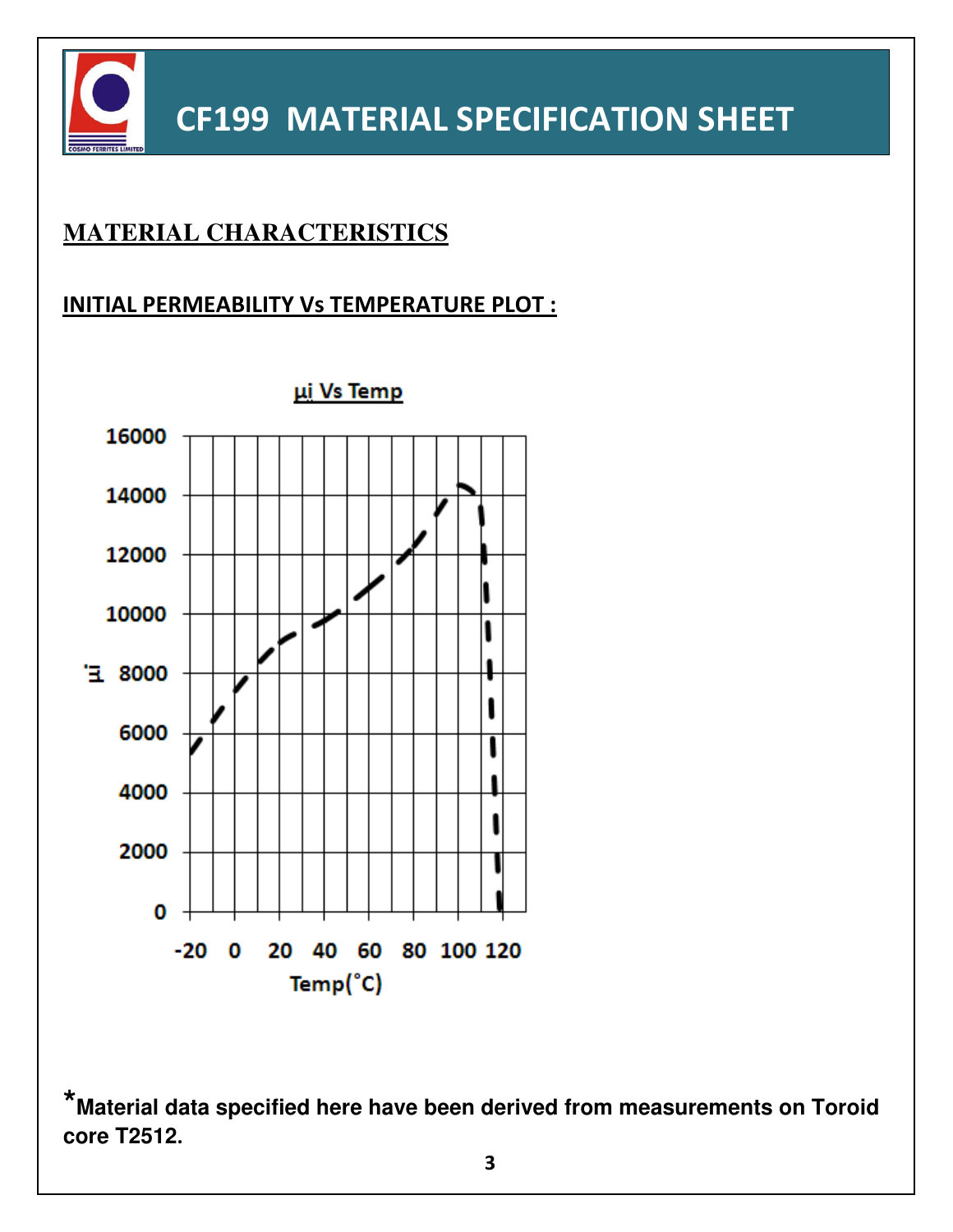

## **CF199 MATERIAL SPECIFICATION SHEET**

### **MATERIAL CHARACTERISTICS**

#### **INITIAL PERMEABILITY Vs TEMPERATURE PLOT :**

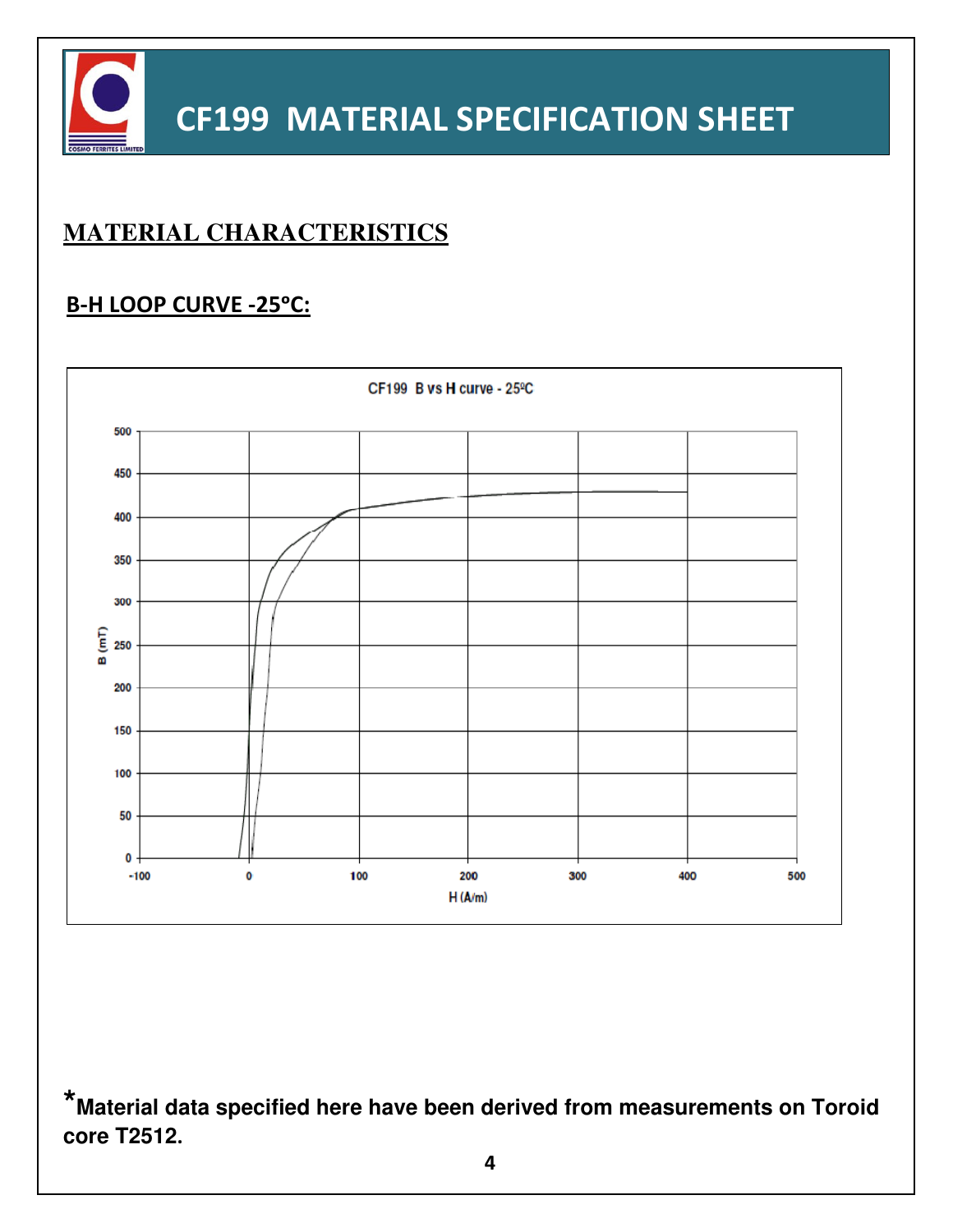

## **MATERIAL CHARACTERISTICS**

#### **B-H LOOP CURVE -25°C:**